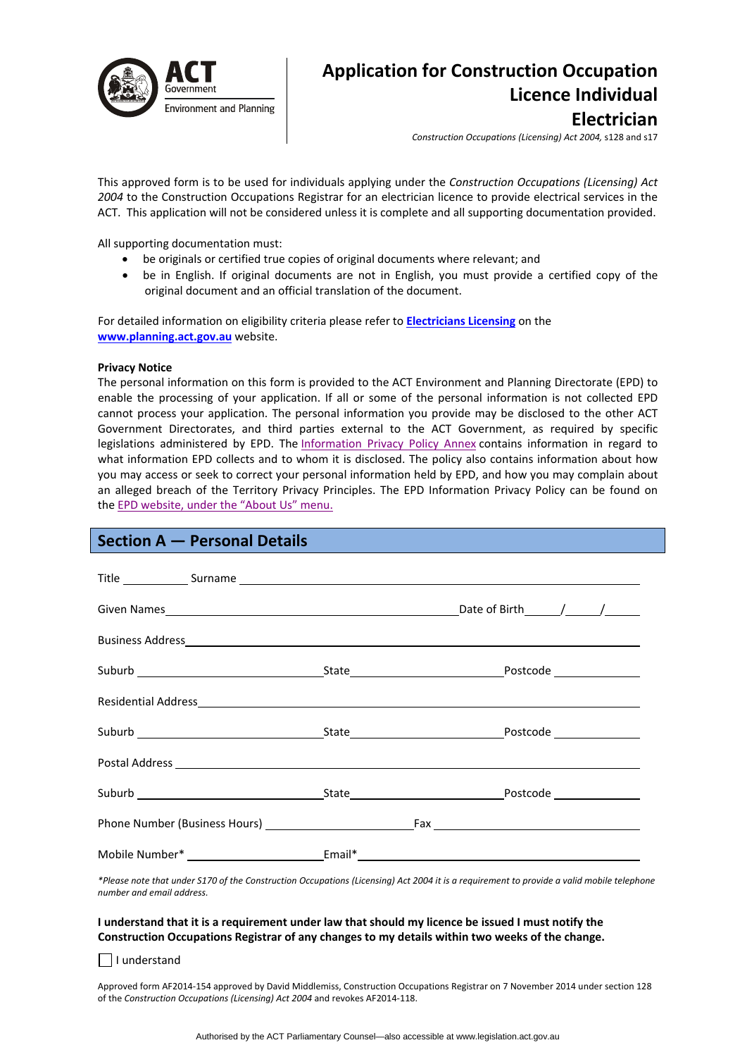

# **Application for Construction Occupation Licence Individual Electrician**

*Construction Occupations (Licensing) Act 2004,* s128 and s17

This approved form is to be used for individuals applying under the *Construction Occupations (Licensing) Act 2004* to the Construction Occupations Registrar for an electrician licence to provide electrical services in the ACT. This application will not be considered unless it is complete and all supporting documentation provided.

All supporting documentation must:

- be originals or certified true copies of original documents where relevant; and
- be in English. If original documents are not in English, you must provide a certified copy of the original document and an official translation of the document.

For detailed information on eligibility criteria please refer to **[Electricians](http://www.actpla.act.gov.au/topics/hiring_licensing/licence_registration/electricians) Licensing** on the **[www.planning.act.gov.au](http://www.planning.act.gov.au/)** website.

### **Privacy Notice**

The personal information on this form is provided to the ACT Environment and Planning Directorate (EPD) to enable the processing of your application. If all or some of the personal information is not collected EPD cannot process your application. The personal information you provide may be disclosed to the other ACT Government Directorates, and third parties external to the ACT Government, as required by specific legislations administered by EPD. The [Information](http://www.environment.act.gov.au/__data/assets/pdf_file/0006/633741/Information-Privacy-Policy-Annex.pdf) Privacy Policy Annex contains information in regard to what information EPD collects and to whom it is disclosed. The policy also contains information about how you may access or seek to correct your personal information held by EPD, and how you may complain about an alleged breach of the Territory Privacy Principles. The EPD Information Privacy Policy can be found on the EPD [website,](http://www.environment.act.gov.au/about/privacy) under the "About Us" menu.

## **Section A — Personal Details**

| Title Surname Surname Surname Surname Surname Surname Surname Surname Surname Surname Surname Surname Surname Surname Surname Surname Surname Surname Surname Surname Surname Surname Surname Surname Surname Surname Surname  |  |  |
|--------------------------------------------------------------------------------------------------------------------------------------------------------------------------------------------------------------------------------|--|--|
|                                                                                                                                                                                                                                |  |  |
|                                                                                                                                                                                                                                |  |  |
|                                                                                                                                                                                                                                |  |  |
| Residential Address and the contract of the contract of the contract of the contract of the contract of the contract of the contract of the contract of the contract of the contract of the contract of the contract of the co |  |  |
|                                                                                                                                                                                                                                |  |  |
| Postal Address experience and the contract of the contract of the contract of the contract of the contract of the contract of the contract of the contract of the contract of the contract of the contract of the contract of  |  |  |
|                                                                                                                                                                                                                                |  |  |
|                                                                                                                                                                                                                                |  |  |
|                                                                                                                                                                                                                                |  |  |

\*Please note that under S170 of the Construction Occupations (Licensing) Act 2004 it is a requirement to provide a valid mobile telephone *number and email address.* 

### I understand that it is a requirement under law that should my licence be issued I must notify the **Construction Occupations Registrar of any changes to my details within two weeks of the change.**

I understand

Approved form AF2014‐154 approved by David Middlemiss, Construction Occupations Registrar on 7 November 2014 under section 128 of the *Construction Occupations (Licensing) Act 2004* and revokes AF2014‐118.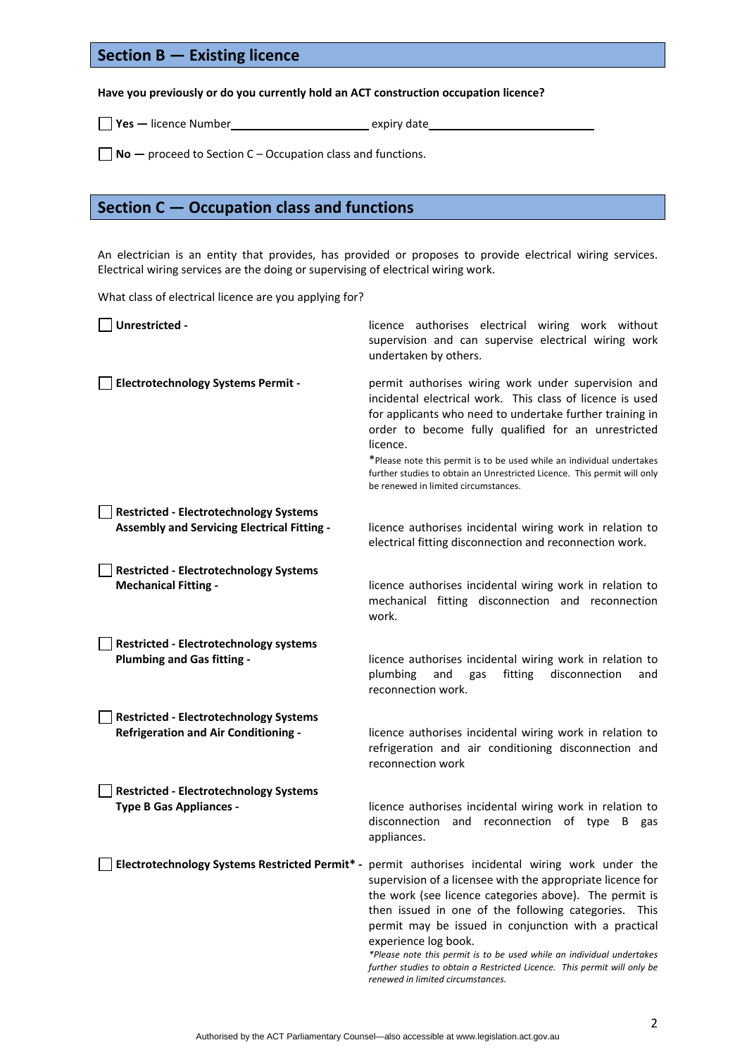## **Section B — Existing licence**

## **Have you previously or do you currently hold an ACT construction occupation licence?**

**Yes —** licence Number expiry date

**No —** proceed to Section C – Occupation class and functions.

## **Section C — Occupation class and functions**

An electrician is an entity that provides, has provided or proposes to provide electrical wiring services. Electrical wiring services are the doing or supervising of electrical wiring work.

What class of electrical licence are you applying for?

| Unrestricted -                                                                               | licence authorises electrical wiring work without<br>supervision and can supervise electrical wiring work<br>undertaken by others.                                                                                                                                                                                                                                                                                                                                                                                                                             |
|----------------------------------------------------------------------------------------------|----------------------------------------------------------------------------------------------------------------------------------------------------------------------------------------------------------------------------------------------------------------------------------------------------------------------------------------------------------------------------------------------------------------------------------------------------------------------------------------------------------------------------------------------------------------|
| <b>Electrotechnology Systems Permit -</b>                                                    | permit authorises wiring work under supervision and<br>incidental electrical work. This class of licence is used<br>for applicants who need to undertake further training in<br>order to become fully qualified for an unrestricted<br>licence.<br>*Please note this permit is to be used while an individual undertakes<br>further studies to obtain an Unrestricted Licence. This permit will only<br>be renewed in limited circumstances.                                                                                                                   |
| <b>Restricted - Electrotechnology Systems</b><br>Assembly and Servicing Electrical Fitting - | licence authorises incidental wiring work in relation to<br>electrical fitting disconnection and reconnection work.                                                                                                                                                                                                                                                                                                                                                                                                                                            |
| <b>Restricted - Electrotechnology Systems</b><br><b>Mechanical Fitting -</b>                 | licence authorises incidental wiring work in relation to<br>mechanical fitting disconnection and reconnection<br>work.                                                                                                                                                                                                                                                                                                                                                                                                                                         |
| <b>Restricted - Electrotechnology systems</b><br><b>Plumbing and Gas fitting -</b>           | licence authorises incidental wiring work in relation to<br>plumbing<br>and<br>fitting<br>disconnection<br>gas<br>and<br>reconnection work.                                                                                                                                                                                                                                                                                                                                                                                                                    |
| <b>Restricted - Electrotechnology Systems</b><br><b>Refrigeration and Air Conditioning -</b> | licence authorises incidental wiring work in relation to<br>refrigeration and air conditioning disconnection and<br>reconnection work                                                                                                                                                                                                                                                                                                                                                                                                                          |
| <b>Restricted - Electrotechnology Systems</b><br><b>Type B Gas Appliances -</b>              | licence authorises incidental wiring work in relation to<br>disconnection<br>and reconnection of type B gas<br>appliances.                                                                                                                                                                                                                                                                                                                                                                                                                                     |
|                                                                                              | Electrotechnology Systems Restricted Permit* - permit authorises incidental wiring work under the<br>supervision of a licensee with the appropriate licence for<br>the work (see licence categories above). The permit is<br>then issued in one of the following categories.<br>This<br>permit may be issued in conjunction with a practical<br>experience log book.<br>*Please note this permit is to be used while an individual undertakes<br>further studies to obtain a Restricted Licence. This permit will only be<br>renewed in limited circumstances. |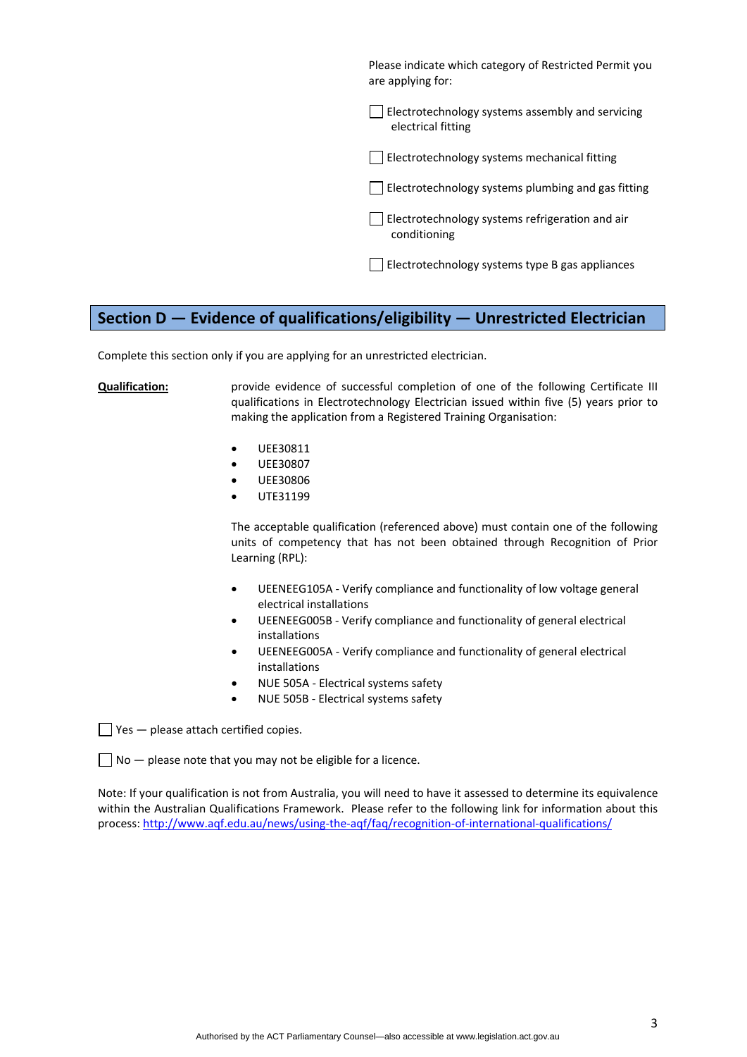Please indicate which category of Restricted Permit you are applying for:

 $\Box$  Electrotechnology systems assembly and servicing electrical fitting

Electrotechnology systems mechanical fitting

 $\Box$  Electrotechnology systems plumbing and gas fitting

Electrotechnology systems refrigeration and air conditioning

Electrotechnology systems type B gas appliances

## **Section D — Evidence of qualifications/eligibility — Unrestricted Electrician**

Complete this section only if you are applying for an unrestricted electrician.

**Qualification:** provide evidence of successful completion of one of the following Certificate III qualifications in Electrotechnology Electrician issued within five (5) years prior to making the application from a Registered Training Organisation:

- UEE30811
- UEE30807
- UEE30806
- UTE31199

The acceptable qualification (referenced above) must contain one of the following units of competency that has not been obtained through Recognition of Prior Learning (RPL):

- UEENEEG105A ‐ Verify compliance and functionality of low voltage general electrical installations
- UEENEEG005B ‐ Verify compliance and functionality of general electrical installations
- UEENEEG005A ‐ Verify compliance and functionality of general electrical installations
- NUE 505A ‐ Electrical systems safety
- NUE 505B Electrical systems safety

 $\Box$  Yes  $-$  please attach certified copies.

 $\Box$  No  $-$  please note that you may not be eligible for a licence.

Note: If your qualification is not from Australia, you will need to have it assessed to determine its equivalence within the Australian Qualifications Framework. Please refer to the following link for information about this process: [http://www.aqf.edu.au/news/using](http://www.aqf.edu.au/news/using-the-aqf/faq/recognition-of-international-qualifications/)‐the‐aqf/faq/recognition‐of‐international‐qualifications/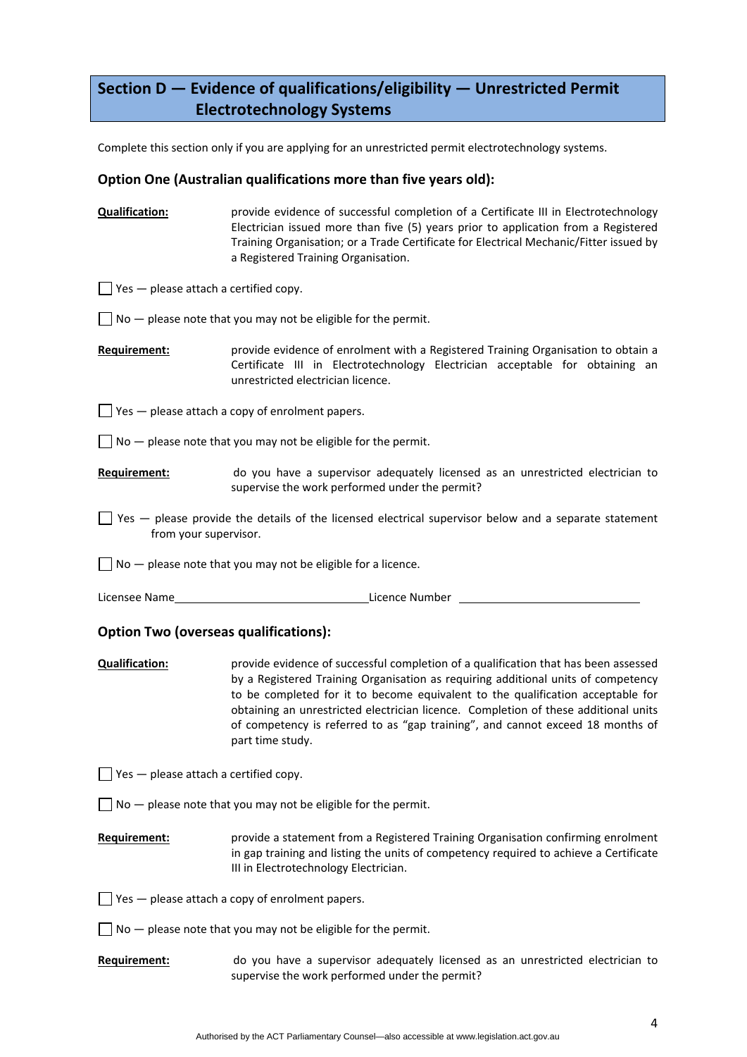# **Section D — Evidence of qualifications/eligibility — Unrestricted Permit Electrotechnology Systems**

Complete this section only if you are applying for an unrestricted permit electrotechnology systems.

## **Option One (Australian qualifications more than five years old):**

**Qualification:** provide evidence of successful completion of a Certificate III in Electrotechnology Electrician issued more than five (5) years prior to application from a Registered Training Organisation; or a Trade Certificate for Electrical Mechanic/Fitter issued by a Registered Training Organisation.

 $\Box$  Yes  $-$  please attach a certified copy.

 $\Box$  No  $-$  please note that you may not be eligible for the permit.

**Requirement:** provide evidence of enrolment with a Registered Training Organisation to obtain a Certificate III in Electrotechnology Electrician acceptable for obtaining an unrestricted electrician licence.

 $\Box$  Yes  $-$  please attach a copy of enrolment papers.

 $\Box$  No  $-$  please note that you may not be eligible for the permit.

- **Requirement:** do you have a supervisor adequately licensed as an unrestricted electrician to supervise the work performed under the permit?
- $\Box$  Yes  $-$  please provide the details of the licensed electrical supervisor below and a separate statement from your supervisor.

 $\Box$  No  $-$  please note that you may not be eligible for a licence.

| Licensee Name | Licence Number |
|---------------|----------------|
|               |                |

## **Option Two (overseas qualifications):**

**Qualification:** provide evidence of successful completion of a qualification that has been assessed by a Registered Training Organisation as requiring additional units of competency to be completed for it to become equivalent to the qualification acceptable for obtaining an unrestricted electrician licence. Completion of these additional units of competency is referred to as "gap training", and cannot exceed 18 months of part time study.

 $\Box$  Yes  $-$  please attach a certified copy.

- $\Box$  No  $-$  please note that you may not be eligible for the permit.
- **Requirement:** provide a statement from a Registered Training Organisation confirming enrolment in gap training and listing the units of competency required to achieve a Certificate III in Electrotechnology Electrician.
- $\Box$  Yes  $-$  please attach a copy of enrolment papers.
- $\Box$  No  $-$  please note that you may not be eligible for the permit.
- **Requirement:** do you have a supervisor adequately licensed as an unrestricted electrician to supervise the work performed under the permit?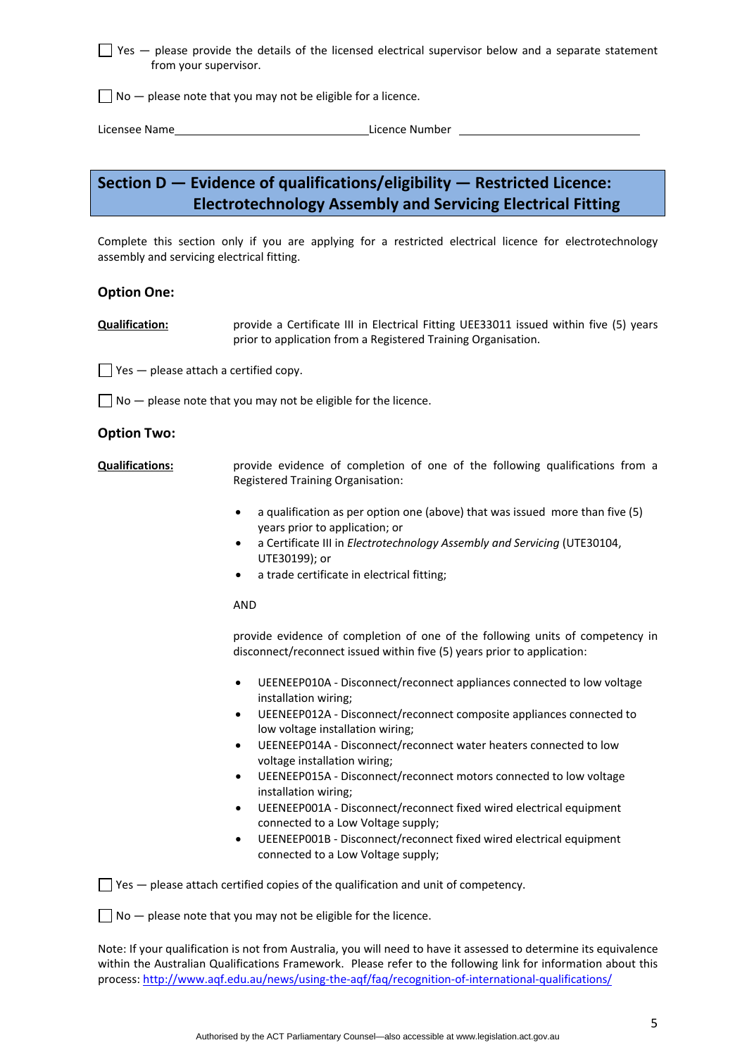$\Box$  Yes  $-$  please provide the details of the licensed electrical supervisor below and a separate statement from your supervisor.

 $\Box$  No  $-$  please note that you may not be eligible for a licence.

Licensee Name Licence Number

# **Section D — Evidence of qualifications/eligibility — Restricted Licence: Electrotechnology Assembly and Servicing Electrical Fitting**

Complete this section only if you are applying for a restricted electrical licence for electrotechnology assembly and servicing electrical fitting.

## **Option One:**

**Qualification:** provide a Certificate III in Electrical Fitting UEE33011 issued within five (5) years prior to application from a Registered Training Organisation.

 $\Box$  Yes  $-$  please attach a certified copy.

 $\Box$  No  $-$  please note that you may not be eligible for the licence.

## **Option Two:**

**Qualifications:** *provide evidence of completion of one of the following qualifications from a* Registered Training Organisation:

- a qualification as per option one (above) that was issued more than five (5) years prior to application; or
- a Certificate III in *Electrotechnology Assembly and Servicing* (UTE30104, UTE30199); or
- a trade certificate in electrical fitting;

#### AND

provide evidence of completion of one of the following units of competency in disconnect/reconnect issued within five (5) years prior to application:

- UEENEEP010A ‐ Disconnect/reconnect appliances connected to low voltage installation wiring;
- UEENEEP012A ‐ Disconnect/reconnect composite appliances connected to low voltage installation wiring;
- UEENEEP014A ‐ Disconnect/reconnect water heaters connected to low voltage installation wiring;
- UEENEEP015A ‐ Disconnect/reconnect motors connected to low voltage installation wiring;
- UEENEEP001A ‐ Disconnect/reconnect fixed wired electrical equipment connected to a Low Voltage supply;
- UEENEEP001B ‐ Disconnect/reconnect fixed wired electrical equipment connected to a Low Voltage supply;

 $\Box$  Yes  $-$  please attach certified copies of the qualification and unit of competency.

 $\Box$  No  $-$  please note that you may not be eligible for the licence.

Note: If your qualification is not from Australia, you will need to have it assessed to determine its equivalence within the Australian Qualifications Framework. Please refer to the following link for information about this process: [http://www.aqf.edu.au/news/using](http://www.aqf.edu.au/news/using-the-aqf/faq/recognition-of-international-qualifications/)-the-aqf/faq/recognition-of-international-qualifications/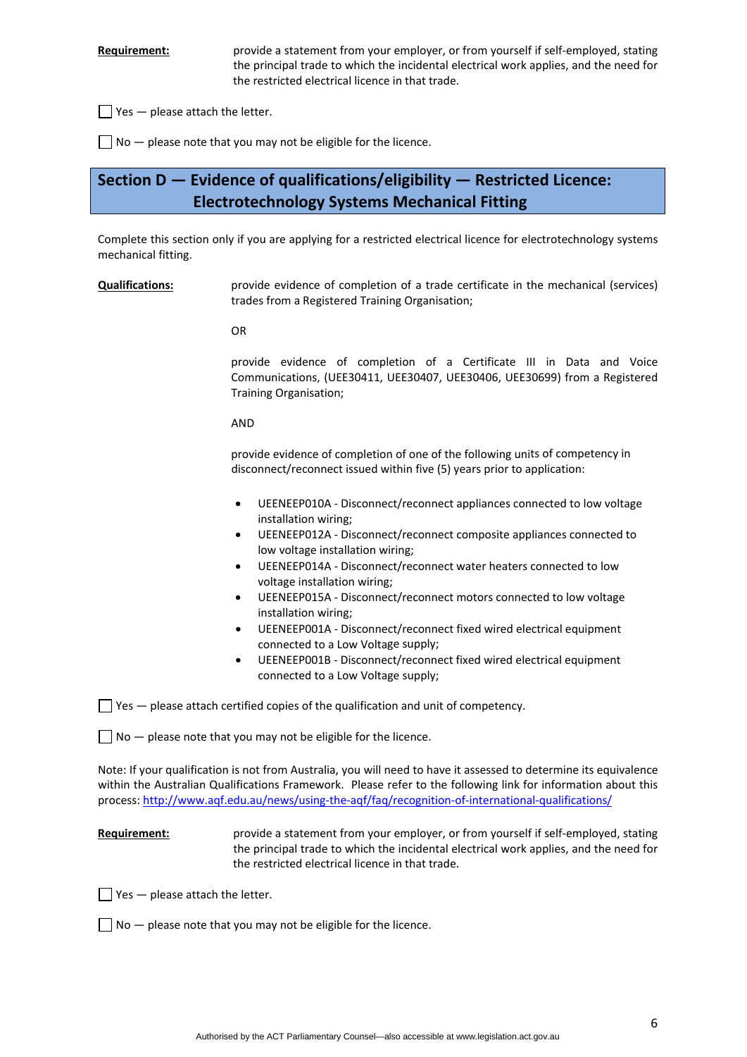Requirement: provide a statement from your employer, or from yourself if self-employed, stating the principal trade to which the incidental electrical work applies, and the need for the restricted electrical licence in that trade.

 $\Box$  Yes  $-$  please attach the letter.

 $\Box$  No  $-$  please note that you may not be eligible for the licence.

# **Section D — Evidence of qualifications/eligibility — Restricted Licence: Electrotechnology Systems Mechanical Fitting**

Complete this section only if you are applying for a restricted electrical licence for electrotechnology systems mechanical fitting.

**Qualifications:** provide evidence of completion of a trade certificate in the mechanical (services) trades from a Registered Training Organisation;

OR

 provide evidence of completion of a Certificate III in Data and Voice Communications, (UEE30411, UEE30407, UEE30406, UEE30699) from a Registered Training Organisation;

AND

provide evidence of completion of one of the following units of competency in disconnect/reconnect issued within five (5) years prior to application:

- UEENEEP010A ‐ Disconnect/reconnect appliances connected to low voltage installation wiring;
- UEENEEP012A ‐ Disconnect/reconnect composite appliances connected to low voltage installation wiring;
- UEENEEP014A ‐ Disconnect/reconnect water heaters connected to low voltage installation wiring;
- UEENEEP015A ‐ Disconnect/reconnect motors connected to low voltage installation wiring;
- UEENEEP001A ‐ Disconnect/reconnect fixed wired electrical equipment connected to a Low Voltage supply;
- UEENEEP001B ‐ Disconnect/reconnect fixed wired electrical equipment connected to a Low Voltage supply;

 $\Box$  Yes  $-$  please attach certified copies of the qualification and unit of competency.

 $\Box$  No  $-$  please note that you may not be eligible for the licence.

Note: If your qualification is not from Australia, you will need to have it assessed to determine its equivalence within the Australian Qualifications Framework. Please refer to the following link for information about this process: [http://www.aqf.edu.au/news/using](http://www.aqf.edu.au/news/using-the-aqf/faq/recognition-of-international-qualifications/)‐the‐aqf/faq/recognition‐of‐international‐qualifications/

## **Requirement:** *provide a statement from your employer, or from yourself if self-employed, stating* the principal trade to which the incidental electrical work applies, and the need for the restricted electrical licence in that trade.

 $\Box$  Yes  $-$  please attach the letter.

 $\Box$  No  $-$  please note that you may not be eligible for the licence.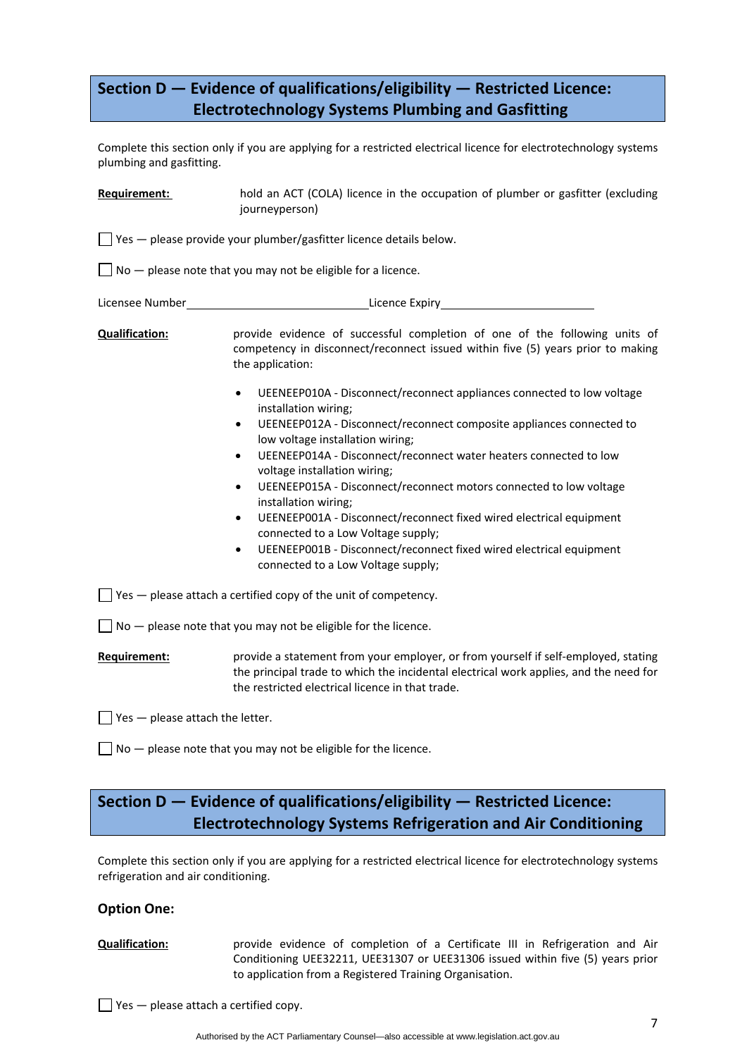# **Section D — Evidence of qualifications/eligibility — Restricted Licence: Electrotechnology Systems Plumbing and Gasfitting**

Complete this section only if you are applying for a restricted electrical licence for electrotechnology systems plumbing and gasfitting.

| Requirement:                             | hold an ACT (COLA) licence in the occupation of plumber or gasfitter (excluding<br>journeyperson)                                                                                                                                                                                                                                                                                                                                                                                                                                                                                                                                                                                                     |  |
|------------------------------------------|-------------------------------------------------------------------------------------------------------------------------------------------------------------------------------------------------------------------------------------------------------------------------------------------------------------------------------------------------------------------------------------------------------------------------------------------------------------------------------------------------------------------------------------------------------------------------------------------------------------------------------------------------------------------------------------------------------|--|
|                                          | $\Box$ Yes $-$ please provide your plumber/gasfitter licence details below.                                                                                                                                                                                                                                                                                                                                                                                                                                                                                                                                                                                                                           |  |
|                                          | $\Box$ No $-$ please note that you may not be eligible for a licence.                                                                                                                                                                                                                                                                                                                                                                                                                                                                                                                                                                                                                                 |  |
| Licensee Number                          |                                                                                                                                                                                                                                                                                                                                                                                                                                                                                                                                                                                                                                                                                                       |  |
| <b>Qualification:</b>                    | provide evidence of successful completion of one of the following units of<br>competency in disconnect/reconnect issued within five (5) years prior to making<br>the application:                                                                                                                                                                                                                                                                                                                                                                                                                                                                                                                     |  |
|                                          | UEENEEP010A - Disconnect/reconnect appliances connected to low voltage<br>$\bullet$<br>installation wiring;<br>UEENEEP012A - Disconnect/reconnect composite appliances connected to<br>٠<br>low voltage installation wiring;<br>UEENEEP014A - Disconnect/reconnect water heaters connected to low<br>$\bullet$<br>voltage installation wiring;<br>UEENEEP015A - Disconnect/reconnect motors connected to low voltage<br>$\bullet$<br>installation wiring;<br>UEENEEP001A - Disconnect/reconnect fixed wired electrical equipment<br>٠<br>connected to a Low Voltage supply;<br>UEENEEP001B - Disconnect/reconnect fixed wired electrical equipment<br>$\bullet$<br>connected to a Low Voltage supply; |  |
|                                          | $\blacksquare$ Yes $-$ please attach a certified copy of the unit of competency.                                                                                                                                                                                                                                                                                                                                                                                                                                                                                                                                                                                                                      |  |
|                                          | $\Box$ No $-$ please note that you may not be eligible for the licence.                                                                                                                                                                                                                                                                                                                                                                                                                                                                                                                                                                                                                               |  |
| Requirement:                             | provide a statement from your employer, or from yourself if self-employed, stating<br>the principal trade to which the incidental electrical work applies, and the need for<br>the restricted electrical licence in that trade.                                                                                                                                                                                                                                                                                                                                                                                                                                                                       |  |
| $\Box$ Yes $-$ please attach the letter. |                                                                                                                                                                                                                                                                                                                                                                                                                                                                                                                                                                                                                                                                                                       |  |

 $\Box$  No  $-$  please note that you may not be eligible for the licence.

# **Section D — Evidence of qualifications/eligibility — Restricted Licence: Electrotechnology Systems Refrigeration and Air Conditioning**

Complete this section only if you are applying for a restricted electrical licence for electrotechnology systems refrigeration and air conditioning.

## **Option One:**

**Qualification:** provide evidence of completion of a Certificate III in Refrigeration and Air Conditioning UEE32211, UEE31307 or UEE31306 issued within five (5) years prior to application from a Registered Training Organisation.

 $\Box$  Yes  $-$  please attach a certified copy.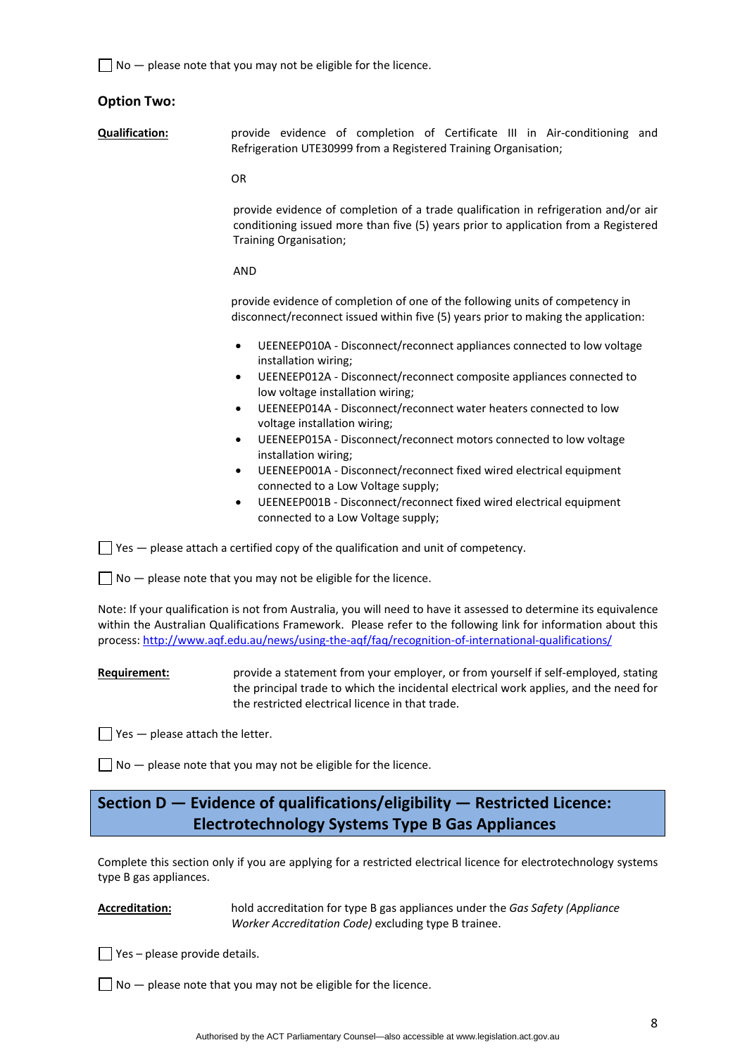$\Box$  No  $-$  please note that you may not be eligible for the licence.

## **Option Two:**

**Qualification:** provide evidence of completion of Certificate III in Air‐conditioning and Refrigeration UTE30999 from a Registered Training Organisation;

OR

provide evidence of completion of a trade qualification in refrigeration and/or air conditioning issued more than five (5) years prior to application from a Registered Training Organisation;

#### AND

provide evidence of completion of one of the following units of competency in disconnect/reconnect issued within five (5) years prior to making the application:

- UEENEEP010A ‐ Disconnect/reconnect appliances connected to low voltage installation wiring;
- UEENEEP012A ‐ Disconnect/reconnect composite appliances connected to low voltage installation wiring;
- UEENEEP014A ‐ Disconnect/reconnect water heaters connected to low voltage installation wiring;
- UEENEEP015A ‐ Disconnect/reconnect motors connected to low voltage installation wiring;
- UEENEEP001A ‐ Disconnect/reconnect fixed wired electrical equipment connected to a Low Voltage supply;
- UEENEEP001B ‐ Disconnect/reconnect fixed wired electrical equipment connected to a Low Voltage supply;

 $\Box$  Yes  $-$  please attach a certified copy of the qualification and unit of competency.

 $\Box$  No  $-$  please note that you may not be eligible for the licence.

Note: If your qualification is not from Australia, you will need to have it assessed to determine its equivalence within the Australian Qualifications Framework. Please refer to the following link for information about this process: [http://www.aqf.edu.au/news/using](http://www.aqf.edu.au/news/using-the-aqf/faq/recognition-of-international-qualifications/)‐the‐aqf/faq/recognition‐of‐international‐qualifications/

**Requirement:** *provide a statement from your employer, or from yourself if self-employed, stating* the principal trade to which the incidental electrical work applies, and the need for the restricted electrical licence in that trade.

 $\Box$  Yes  $-$  please attach the letter.

 $\Box$  No  $-$  please note that you may not be eligible for the licence.

# **Section D — Evidence of qualifications/eligibility — Restricted Licence: Electrotechnology Systems Type B Gas Appliances**

Complete this section only if you are applying for a restricted electrical licence for electrotechnology systems type B gas appliances.

**Accreditation:** hold accreditation for type B gas appliances under the *Gas Safety (Appliance Worker Accreditation Code)* excluding type B trainee.

 $\Box$  Yes – please provide details.

 $\Box$  No  $-$  please note that you may not be eligible for the licence.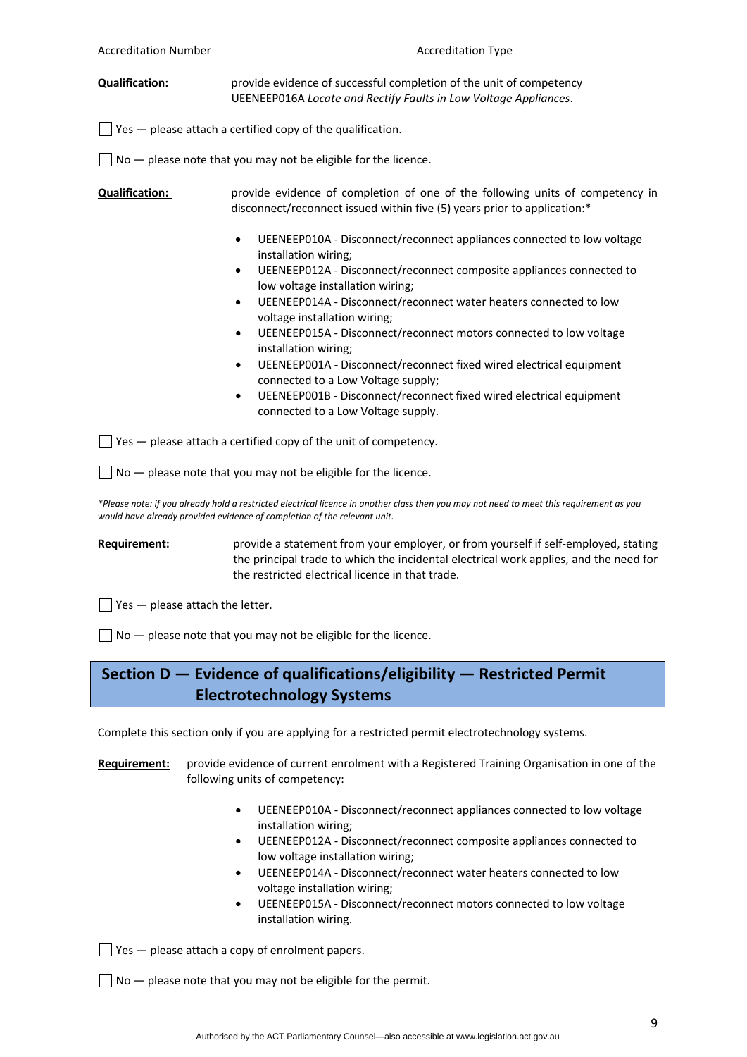| Accreditation Number                     | <b>Accreditation Type</b>                                                                                                                                                                                                       |
|------------------------------------------|---------------------------------------------------------------------------------------------------------------------------------------------------------------------------------------------------------------------------------|
| <b>Qualification:</b>                    | provide evidence of successful completion of the unit of competency<br>UEENEEP016A Locate and Rectify Faults in Low Voltage Appliances.                                                                                         |
|                                          | $\Box$ Yes $-$ please attach a certified copy of the qualification.                                                                                                                                                             |
|                                          | $No$ - please note that you may not be eligible for the licence.                                                                                                                                                                |
| <b>Qualification:</b>                    | provide evidence of completion of one of the following units of competency in<br>disconnect/reconnect issued within five (5) years prior to application:*                                                                       |
|                                          | UEENEEP010A - Disconnect/reconnect appliances connected to low voltage<br>$\bullet$<br>installation wiring;<br>UEENEEP012A - Disconnect/reconnect composite appliances connected to<br>٠<br>low voltage installation wiring;    |
|                                          | UEENEEP014A - Disconnect/reconnect water heaters connected to low<br>$\bullet$<br>voltage installation wiring;                                                                                                                  |
|                                          | UEENEEP015A - Disconnect/reconnect motors connected to low voltage<br>٠<br>installation wiring;                                                                                                                                 |
|                                          | UEENEEP001A - Disconnect/reconnect fixed wired electrical equipment<br>$\bullet$<br>connected to a Low Voltage supply;                                                                                                          |
|                                          | UEENEEP001B - Disconnect/reconnect fixed wired electrical equipment<br>$\bullet$<br>connected to a Low Voltage supply.                                                                                                          |
|                                          | $\Box$ Yes $-$ please attach a certified copy of the unit of competency.                                                                                                                                                        |
|                                          | $\Box$ No $-$ please note that you may not be eligible for the licence.                                                                                                                                                         |
|                                          | *Please note: if you already hold a restricted electrical licence in another class then you may not need to meet this requirement as you<br>would have already provided evidence of completion of the relevant unit.            |
| Requirement:                             | provide a statement from your employer, or from yourself if self-employed, stating<br>the principal trade to which the incidental electrical work applies, and the need for<br>the restricted electrical licence in that trade. |
| $\Box$ Yes $-$ please attach the letter. |                                                                                                                                                                                                                                 |
|                                          | $No$ - please note that you may not be eligible for the licence.                                                                                                                                                                |
|                                          | Section D $-$ Evidence of qualifications/eligibility $-$ Restricted Permit                                                                                                                                                      |
|                                          | <b>Electrotechnology Systems</b>                                                                                                                                                                                                |
|                                          | Complete this section only if you are applying for a restricted permit electrotechnology systems.                                                                                                                               |
| Requirement:                             | provide evidence of current enrolment with a Registered Training Organisation in one of the<br>following units of competency:                                                                                                   |

- UEENEEP010A ‐ Disconnect/reconnect appliances connected to low voltage installation wiring;
- UEENEEP012A ‐ Disconnect/reconnect composite appliances connected to low voltage installation wiring;
- UEENEEP014A ‐ Disconnect/reconnect water heaters connected to low voltage installation wiring;
- UEENEEP015A ‐ Disconnect/reconnect motors connected to low voltage installation wiring.

 $\Box$  Yes  $-$  please attach a copy of enrolment papers.

 $\Box$  No  $-$  please note that you may not be eligible for the permit.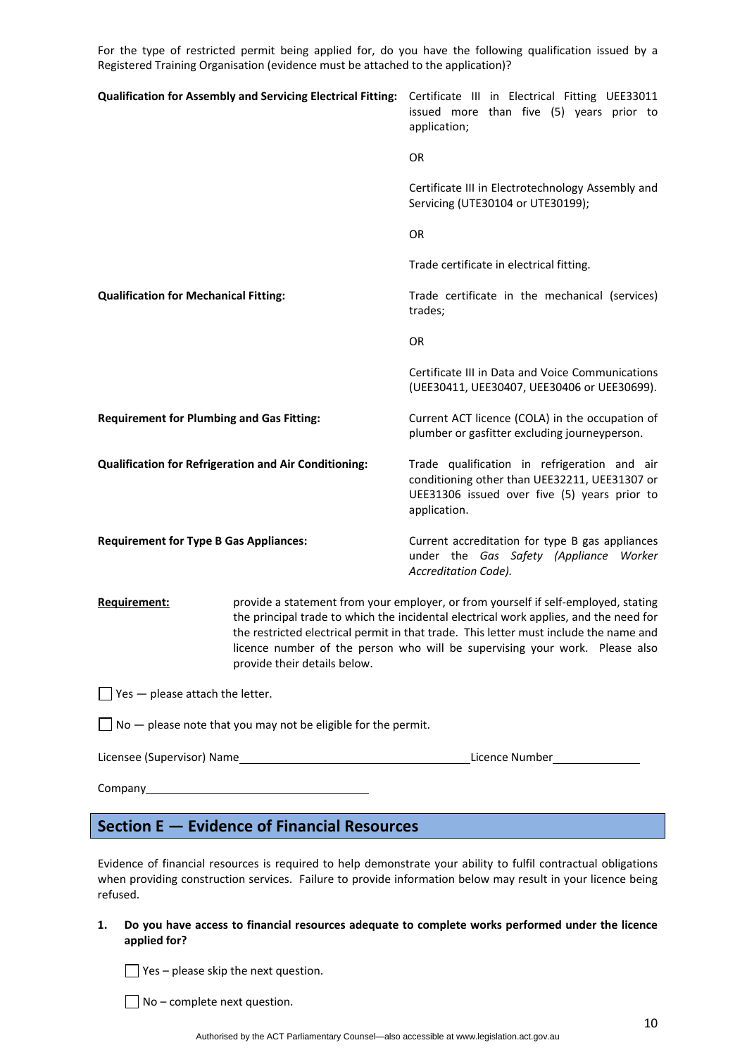For the type of restricted permit being applied for, do you have the following qualification issued by a Registered Training Organisation (evidence must be attached to the application)?

| Qualification for Assembly and Servicing Electrical Fitting: Certificate III in Electrical Fitting UEE33011 |                                                                                                                                                                                                                                                                                                                                                                                     | issued more than five (5) years prior to<br>application;                                                                                                      |
|-------------------------------------------------------------------------------------------------------------|-------------------------------------------------------------------------------------------------------------------------------------------------------------------------------------------------------------------------------------------------------------------------------------------------------------------------------------------------------------------------------------|---------------------------------------------------------------------------------------------------------------------------------------------------------------|
|                                                                                                             |                                                                                                                                                                                                                                                                                                                                                                                     | OR                                                                                                                                                            |
|                                                                                                             |                                                                                                                                                                                                                                                                                                                                                                                     | Certificate III in Electrotechnology Assembly and<br>Servicing (UTE30104 or UTE30199);                                                                        |
|                                                                                                             |                                                                                                                                                                                                                                                                                                                                                                                     | <b>OR</b>                                                                                                                                                     |
|                                                                                                             |                                                                                                                                                                                                                                                                                                                                                                                     | Trade certificate in electrical fitting.                                                                                                                      |
| <b>Qualification for Mechanical Fitting:</b>                                                                |                                                                                                                                                                                                                                                                                                                                                                                     | Trade certificate in the mechanical (services)<br>trades;                                                                                                     |
|                                                                                                             |                                                                                                                                                                                                                                                                                                                                                                                     | <b>OR</b>                                                                                                                                                     |
|                                                                                                             |                                                                                                                                                                                                                                                                                                                                                                                     | Certificate III in Data and Voice Communications<br>(UEE30411, UEE30407, UEE30406 or UEE30699).                                                               |
| <b>Requirement for Plumbing and Gas Fitting:</b>                                                            |                                                                                                                                                                                                                                                                                                                                                                                     | Current ACT licence (COLA) in the occupation of<br>plumber or gasfitter excluding journeyperson.                                                              |
|                                                                                                             | <b>Qualification for Refrigeration and Air Conditioning:</b>                                                                                                                                                                                                                                                                                                                        | Trade qualification in refrigeration and air<br>conditioning other than UEE32211, UEE31307 or<br>UEE31306 issued over five (5) years prior to<br>application. |
| <b>Requirement for Type B Gas Appliances:</b>                                                               |                                                                                                                                                                                                                                                                                                                                                                                     | Current accreditation for type B gas appliances<br>under the Gas Safety (Appliance Worker<br>Accreditation Code).                                             |
| <b>Requirement:</b>                                                                                         | provide a statement from your employer, or from yourself if self-employed, stating<br>the principal trade to which the incidental electrical work applies, and the need for<br>the restricted electrical permit in that trade. This letter must include the name and<br>licence number of the person who will be supervising your work. Please also<br>provide their details below. |                                                                                                                                                               |
| $\blacksquare$ Yes $\blacksquare$ please attach the letter.                                                 |                                                                                                                                                                                                                                                                                                                                                                                     |                                                                                                                                                               |
|                                                                                                             | $\overline{\phantom{a}}$ No $-$ please note that you may not be eligible for the permit.                                                                                                                                                                                                                                                                                            |                                                                                                                                                               |
|                                                                                                             |                                                                                                                                                                                                                                                                                                                                                                                     |                                                                                                                                                               |
|                                                                                                             |                                                                                                                                                                                                                                                                                                                                                                                     |                                                                                                                                                               |

# **Section E — Evidence of Financial Resources**

Evidence of financial resources is required to help demonstrate your ability to fulfil contractual obligations when providing construction services. Failure to provide information below may result in your licence being refused.

**1. Do you have access to financial resources adequate to complete works performed under the licence applied for?** 

 $\Box$  Yes – please skip the next question.

 $\Box$  No – complete next question.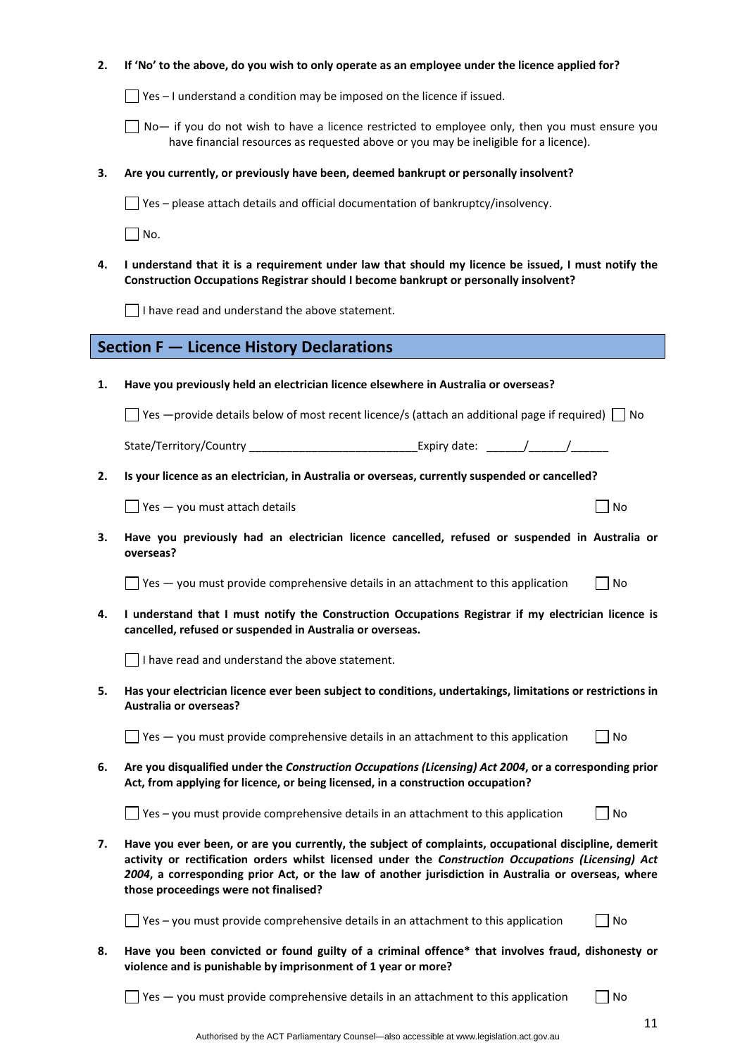| 2. | If 'No' to the above, do you wish to only operate as an employee under the licence applied for?                                                                                                                                                                                                                                                              |    |
|----|--------------------------------------------------------------------------------------------------------------------------------------------------------------------------------------------------------------------------------------------------------------------------------------------------------------------------------------------------------------|----|
|    | $\Box$ Yes – I understand a condition may be imposed on the licence if issued.                                                                                                                                                                                                                                                                               |    |
|    | No- if you do not wish to have a licence restricted to employee only, then you must ensure you<br>have financial resources as requested above or you may be ineligible for a licence).                                                                                                                                                                       |    |
| З. | Are you currently, or previously have been, deemed bankrupt or personally insolvent?                                                                                                                                                                                                                                                                         |    |
|    | Yes - please attach details and official documentation of bankruptcy/insolvency.                                                                                                                                                                                                                                                                             |    |
|    | $\vert$ No.                                                                                                                                                                                                                                                                                                                                                  |    |
| 4. | I understand that it is a requirement under law that should my licence be issued, I must notify the<br>Construction Occupations Registrar should I become bankrupt or personally insolvent?                                                                                                                                                                  |    |
|    | $\Box$ I have read and understand the above statement.                                                                                                                                                                                                                                                                                                       |    |
|    | <b>Section F - Licence History Declarations</b>                                                                                                                                                                                                                                                                                                              |    |
| 1. | Have you previously held an electrician licence elsewhere in Australia or overseas?                                                                                                                                                                                                                                                                          |    |
|    | Set $\Box$ Yes $\Box$ provide details below of most recent licence/s (attach an additional page if required) $\Box$ No                                                                                                                                                                                                                                       |    |
|    | State/Territory/Country _________________________________Expiry date: _______/_______/                                                                                                                                                                                                                                                                       |    |
| 2. | Is your licence as an electrician, in Australia or overseas, currently suspended or cancelled?                                                                                                                                                                                                                                                               |    |
|    | $\blacksquare$ Yes $\smile$ you must attach details                                                                                                                                                                                                                                                                                                          | No |
| 3. | Have you previously had an electrician licence cancelled, refused or suspended in Australia or<br>overseas?                                                                                                                                                                                                                                                  |    |
|    | $\exists$ Yes $-$ you must provide comprehensive details in an attachment to this application                                                                                                                                                                                                                                                                | No |
| 4. | I understand that I must notify the Construction Occupations Registrar if my electrician licence is<br>cancelled, refused or suspended in Australia or overseas.                                                                                                                                                                                             |    |
|    | I have read and understand the above statement.                                                                                                                                                                                                                                                                                                              |    |
| 5. | Has your electrician licence ever been subject to conditions, undertakings, limitations or restrictions in<br><b>Australia or overseas?</b>                                                                                                                                                                                                                  |    |
|    | $\exists$ Yes $-$ you must provide comprehensive details in an attachment to this application                                                                                                                                                                                                                                                                | No |
| 6. | Are you disqualified under the Construction Occupations (Licensing) Act 2004, or a corresponding prior<br>Act, from applying for licence, or being licensed, in a construction occupation?                                                                                                                                                                   |    |
|    | Yes - you must provide comprehensive details in an attachment to this application                                                                                                                                                                                                                                                                            | No |
| 7. | Have you ever been, or are you currently, the subject of complaints, occupational discipline, demerit<br>activity or rectification orders whilst licensed under the Construction Occupations (Licensing) Act<br>2004, a corresponding prior Act, or the law of another jurisdiction in Australia or overseas, where<br>those proceedings were not finalised? |    |
|    | Yes - you must provide comprehensive details in an attachment to this application                                                                                                                                                                                                                                                                            | No |
| 8. | Have you been convicted or found guilty of a criminal offence* that involves fraud, dishonesty or<br>violence and is punishable by imprisonment of 1 year or more?                                                                                                                                                                                           |    |
|    | Yes - you must provide comprehensive details in an attachment to this application                                                                                                                                                                                                                                                                            | No |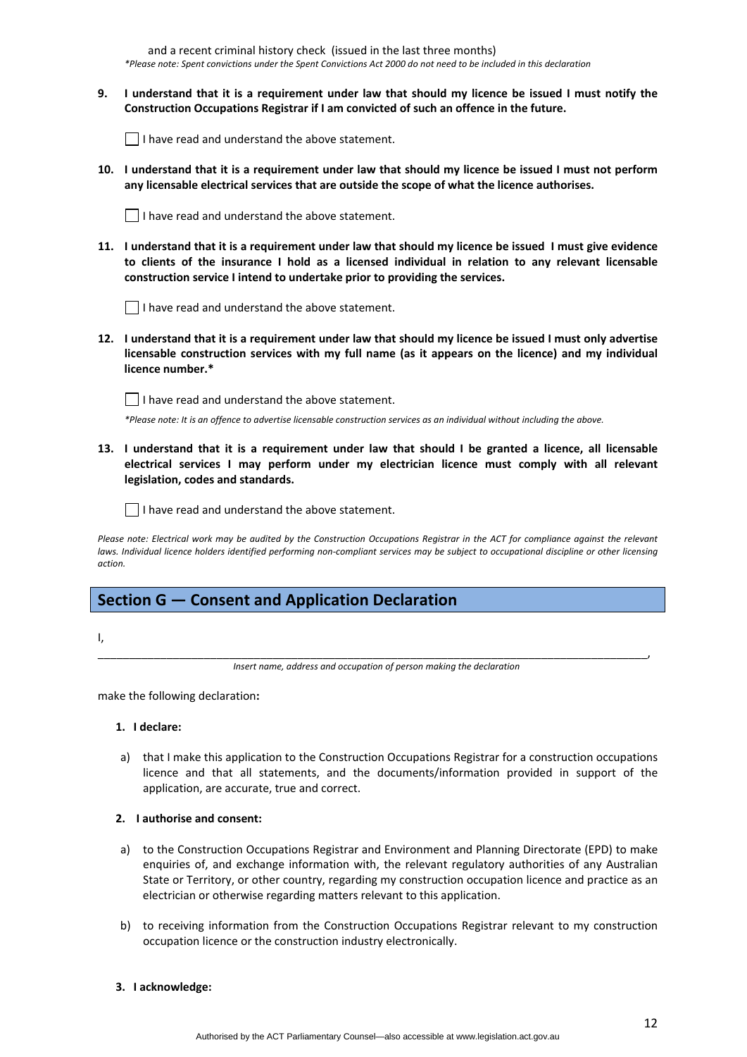and a recent criminal history check (issued in the last three months) \*Please note: Spent convictions under the Spent Convictions Act 2000 do not need to be included in this declaration

9. I understand that it is a requirement under law that should my licence be issued I must notify the **Construction Occupations Registrar if I am convicted of such an offence in the future.** 

 $\vert \ \vert$  I have read and understand the above statement.

10. I understand that it is a requirement under law that should my licence be issued I must not perform **any licensable electrical services that are outside the scope of what the licence authorises.** 



11. I understand that it is a requirement under law that should my licence be issued I must give evidence **to clients of the insurance I hold as a licensed individual in relation to any relevant licensable construction service I intend to undertake prior to providing the services.** 

 $\Box$  I have read and understand the above statement.

12. I understand that it is a requirement under law that should my licence be issued I must only advertise **licensable construction services with my full name (as it appears on the licence) and my individual licence number.\*** 

 $\Box$  I have read and understand the above statement.

\*Please note: It is an offence to advertise licensable construction services as an individual without including the above.

13. I understand that it is a requirement under law that should I be granted a licence, all licensable **electrical services I may perform under my electrician licence must comply with all relevant legislation, codes and standards.** 

 $\vert \vert$  I have read and understand the above statement.

Please note: Electrical work may be audited by the Construction Occupations Registrar in the ACT for compliance against the relevant laws. Individual licence holders identified performing non-compliant services may be subject to occupational discipline or other licensing *action.*

## **Section G — Consent and Application Declaration**

I,

\_\_\_\_\_\_\_\_\_\_\_\_\_\_\_\_\_\_\_\_\_\_\_\_\_\_\_\_\_\_\_\_\_\_\_\_\_\_\_\_\_\_\_\_\_\_\_\_\_\_\_\_\_\_\_\_\_\_\_\_\_\_\_\_\_\_\_\_\_\_\_\_\_\_\_\_\_\_\_\_\_\_\_\_\_\_\_\_, *Insert name, address and occupation of person making the declaration*

make the following declaration**:**

#### **1. I declare:**

a) that I make this application to the Construction Occupations Registrar for a construction occupations licence and that all statements, and the documents/information provided in support of the application, are accurate, true and correct.

## **2. I authorise and consent:**

- a) to the Construction Occupations Registrar and Environment and Planning Directorate (EPD) to make enquiries of, and exchange information with, the relevant regulatory authorities of any Australian State or Territory, or other country, regarding my construction occupation licence and practice as an electrician or otherwise regarding matters relevant to this application.
- b) to receiving information from the Construction Occupations Registrar relevant to my construction occupation licence or the construction industry electronically.

#### **3. I acknowledge:**